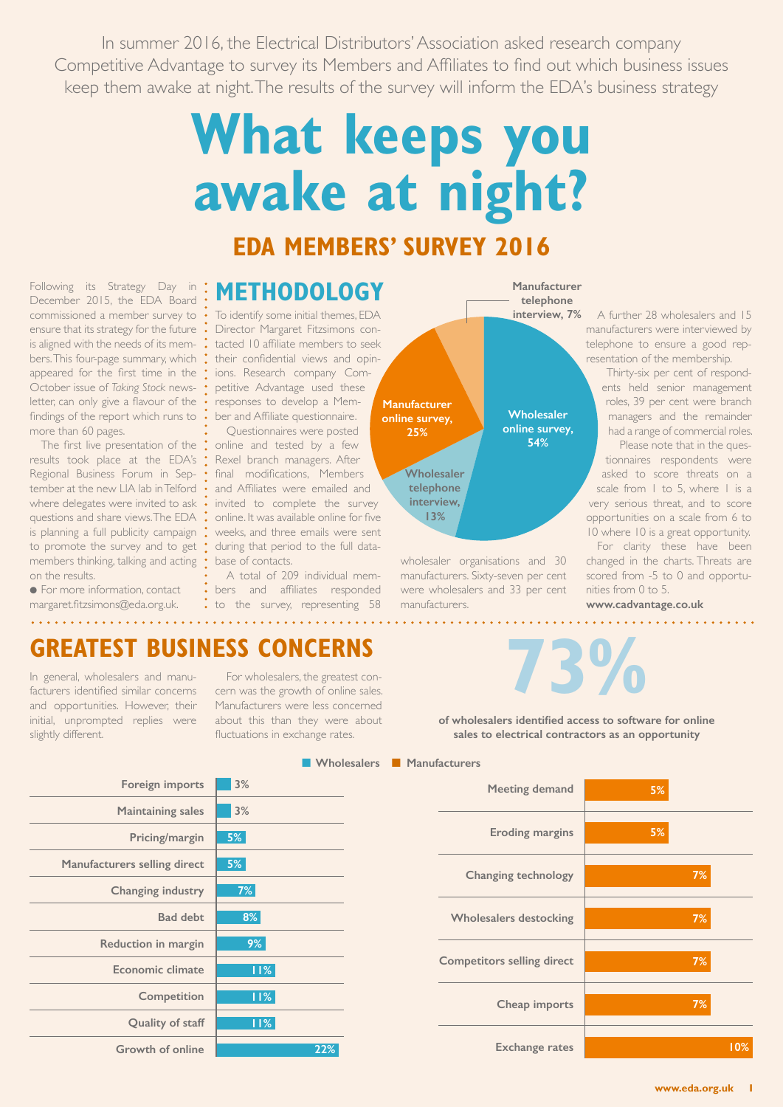In summer 2016, the Electrical Distributors' Association asked research company Competitive Advantage to survey its Members and Affiliates to find out which business issues keep them awake at night.The results of the survey will inform the EDA's business strategy

# **What keeps you awake at night?**

# **EDA MEMBERS' SURVEY 2016**

Following its Strategy Day in December 2015, the EDA Board commissioned a member survey to ensure that its strategy for the future is aligned with the needs of its members.This four-page summary, which appeared for the first time in the October issue of *Taking Stock* newsletter, can only give a flavour of the findings of the report which runs to more than 60 pages.

The first live presentation of the results took place at the EDA's Regional Business Forum in September at the new LIA lab inTelford where delegates were invited to ask questions and share views.The EDA is planning a full publicity campaign to promote the survey and to get members thinking, talking and acting on the results.

**• For more information, contact** margaret.fitzsimons@eda.org.uk. <u>a dia ang ang pa</u>

# **METHODOLOGY**

To identify some initial themes, EDA Director Margaret Fitzsimons contacted 10 affiliate members to seek their confidential views and opinions. Research company Competitive Advantage used these responses to develop a Member and Affiliate questionnaire.

Questionnaires were posted online and tested by a few Rexel branch managers. After final modifications, Members and Affiliates were emailed and invited to complete the survey online. It was available online for five weeks, and three emails were sent during that period to the full database of contacts.

A total of 209 individual members and affiliates responded . to the survey, representing 58



wholesaler organisations and 30 manufacturers. Sixty-seven per cent were wholesalers and 33 per cent manufacturers.

#### A further 28 wholesalers and 15 manufacturers were interviewed by telephone to ensure a good rep-

resentation of the membership. Thirty-six per cent of respondents held senior management roles, 39 per cent were branch managers and the remainder had a range of commercial roles.

Please note that in the questionnaires respondents were asked to score threats on a scale from 1 to 5, where 1 is a very serious threat, and to score opportunities on a scale from 6 to 10 where 10 is a great opportunity.

For clarity these have been changed in the charts. Threats are scored from -5 to 0 and opportunities from 0 to 5.

**www.cadvantage.co.uk**

# **GREATEST BUSINESS CONCERNS**

In general, wholesalers and manufacturers identified similar concerns and opportunities. However, their initial, unprompted replies were slightly different.

For wholesalers, the greatest concern was the growth of online sales. Manufacturers were less concerned about this than they were about fluctuations in exchange rates.



**of wholesalers identified access to software for online sales to electrical contractors as an opportunity** 

|                              |     | Wholesalers Manufacturers |        |
|------------------------------|-----|---------------------------|--------|
| Foreign imports              | 3%  |                           |        |
| <b>Maintaining sales</b>     | 3%  |                           |        |
| Pricing/margin               | 5%  |                           |        |
| Manufacturers selling direct | 5%  |                           | Ch     |
| Changing industry            | 7%  |                           |        |
| <b>Bad debt</b>              | 8%  |                           | Whol   |
| Reduction in margin          | 9%  |                           |        |
| <b>Economic climate</b>      | 11% |                           | Compet |
| Competition                  | 11% |                           |        |
| Quality of staff             | 11% |                           |        |
| <b>Growth of online</b>      | 22% |                           |        |

### **Meeting demand 5% 5% 7% 7% 7% 7% 10% Eroding margins Changing technology Wholesalers destocking Competitors selling direct Cheap imports Exchange rates**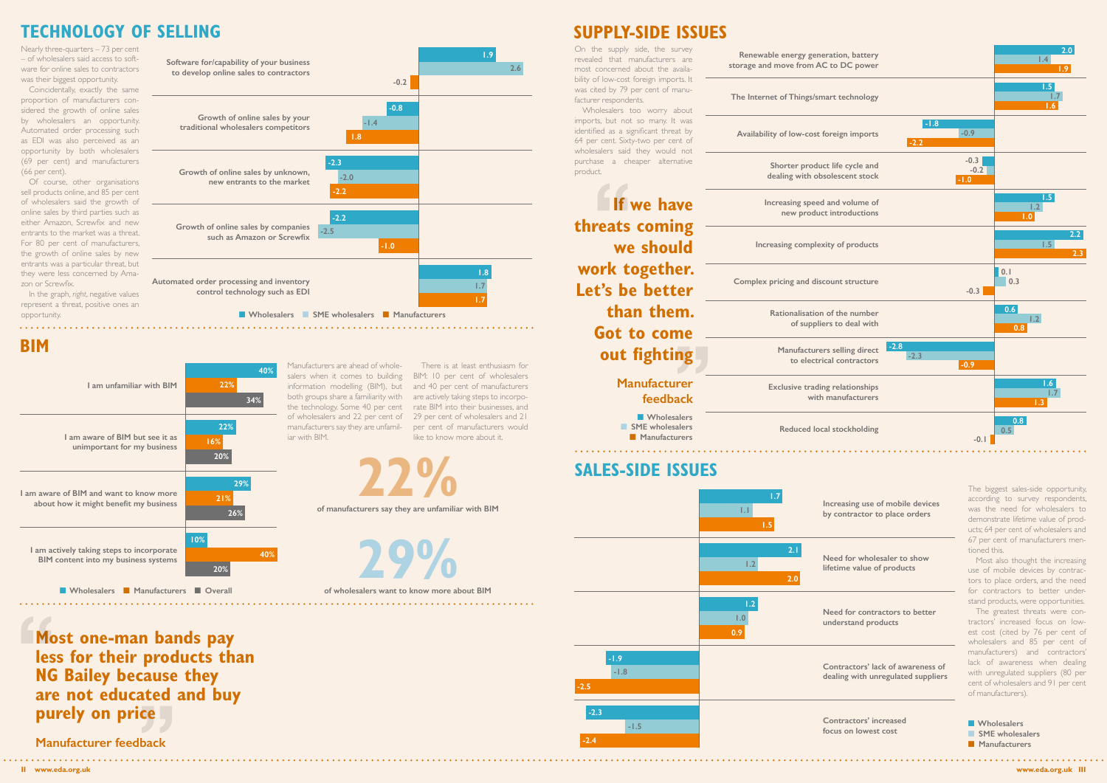**Most one-man bands pay less for their products than NG Bailey because they are not educated and buy purely on price**

**Manufacturer feedback**

## **TECHNOLOGY OF SELLING SUPPLY-SIDE ISSUES**

Nearly three-quarters  $-73$  per cent – of wholesalers said access to software for online sales to contractors was their biggest opportunity.

**BIM**

On the supply side, the survey

facturer respondents.

The biggest sales-side opportunity, according to survey respondents, was the need for wholesalers to demonstrate lifetime value of products; 64 per cent of wholesalers and 67 per cent of manufacturers mentioned this.

Most also thought the increasing use of mobile devices by contractors to place orders, and the need for contractors to better understand products, were opportunities.

product.

In the graph, *right*, negative values represent a threat, positive ones an opportunity.

> The greatest threats were contractors' increased focus on lowest cost (cited by 76 per cent of wholesalers and 85 per cent of manufacturers) and contractors' lack of awareness when dealing with unregulated suppliers (80 per cent of wholesalers and 91 per cent of manufacturers).

**N** Wholesalers **n** SME wholesalers **Nanufacturers** 

Coincidentally, exactly the same proportion of manufacturers considered the growth of online sales by wholesalers an opportunity. Automated order processing such as EDI was also perceived as an opportunity by both wholesalers (69 per cent) and manufacturers (66 per cent).

**Renewable energy generation, battery**  revealed that manufacturers are **storage and move from AC to DC power** most concerned about the availability of low-cost foreign imports. It was cited by 79 per cent of manu-**The Internet of Things/smart technology** Wholesalers too worry about imports, but not so many. It was identified as a significant threat by **Availability of low-cost foreign imports** 64 per cent. Sixty-two per cent of wholesalers said they would not purchase a cheaper alternative **Shorter product life cycle and dealing with obsolescent stock If we have Increasing speed and volume of new product introductions threats coming we should Increasing complexity of products work together. Complex pricing and discount structure Let's be better than them. Rationalisation of the number of suppliers to deal with Got to come Manufacturers selling direct out fighting to electrical contractors Manufacturer Exclusive trading relationships feedback N** Wholesalers **No SME** wholesalers **Reduced local stockholding n** Manufacturers 

Of course, other organisations sell products online, and 85 per cent of wholesalers said the growth of online sales by third parties such as either Amazon, Screwfix and new entrants to the market was a threat. For 80 per cent of manufacturers, the growth of online sales by new entrants was a particular threat, but they were less concerned by Amazon or Screwfix.

> Manufacturers are ahead of wholesalers when it comes to building information modelling (BIM), but both groups share a familiarity with the technology. Some 40 per cent of wholesalers and 22 per cent of manufacturers say they are unfamil-

iar with BIM.

There is at least enthusiasm for BIM: 10 per cent of wholesalers and 40 per cent of manufacturers are actively taking steps to incorporate BIM into their businesses, and 29 per cent of wholesalers and 21 per cent of manufacturers would like to know more about it.





**n Wholesalers n SME** wholesalers **n Manufacturers** 

**Increasing use of mobile devices by contractor to place orders**

**Need for wholesaler to show lifetime value of products**

**Need for contractors to better understand products**

**Contractors' lack of awareness of dealing with unregulated suppliers**

**Contractors' increased focus on lowest cost**





**29%**

**n Wholesalers n Manufacturers n Overall of wholesalers want to know more about BIM** 

**of manufacturers say they are unfamiliar with BIM 22%**